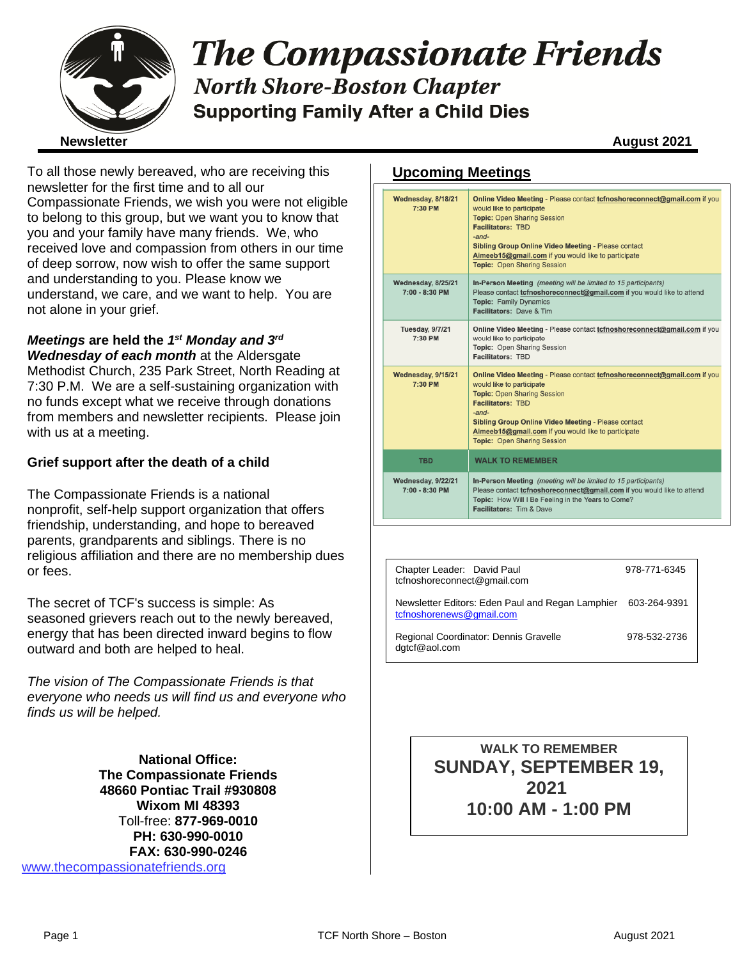

# **The Compassionate Friends North Shore-Boston Chapter Supporting Family After a Child Dies**

To all those newly bereaved, who are receiving this newsletter for the first time and to all our Compassionate Friends, we wish you were not eligible to belong to this group, but we want you to know that you and your family have many friends. We, who received love and compassion from others in our time of deep sorrow, now wish to offer the same support and understanding to you. Please know we understand, we care, and we want to help. You are not alone in your grief.

### *Meetings* **are held the** *1 st Monday and 3rd*

*Wednesday of each month* at the Aldersgate Methodist Church, 235 Park Street, North Reading at 7:30 P.M. We are a self-sustaining organization with no funds except what we receive through donations from members and newsletter recipients. Please join with us at a meeting.

### **Grief support after the death of a child**

The Compassionate Friends is a national nonprofit, self-help support organization that offers friendship, understanding, and hope to bereaved parents, grandparents and siblings. There is no religious affiliation and there are no membership dues or fees.

The secret of TCF's success is simple: As seasoned grievers reach out to the newly bereaved, energy that has been directed inward begins to flow outward and both are helped to heal.

*The vision of The Compassionate Friends is that everyone who needs us will find us and everyone who finds us will be helped.*

**National Office: The Compassionate Friends 48660 Pontiac Trail #930808 Wixom MI 48393** Toll-free: **877-969-0010 PH: 630-990-0010 FAX: 630-990-0246** [www.thecompassionatefriends.org](http://www.thecompassionatefriends.org/)

### **Upcoming Meetings**

| Wednesday, 8/18/21<br>7:30 PM          | Online Video Meeting - Please contact tcfnoshoreconnect@gmail.com if you<br>would like to participate<br><b>Topic: Open Sharing Session</b><br><b>Facilitators: TBD</b><br>$-$ and $-$<br><b>Sibling Group Online Video Meeting - Please contact</b><br>Aimeeb15@gmail.com if you would like to participate<br><b>Topic: Open Sharing Session</b> |
|----------------------------------------|---------------------------------------------------------------------------------------------------------------------------------------------------------------------------------------------------------------------------------------------------------------------------------------------------------------------------------------------------|
| Wednesday, 8/25/21<br>7:00 - 8:30 PM   | In-Person Meeting (meeting will be limited to 15 participants)<br>Please contact tcfnoshoreconnect@gmail.com if you would like to attend<br><b>Topic: Family Dynamics</b><br><b>Facilitators: Dave &amp; Tim.</b>                                                                                                                                 |
| <b>Tuesday, 9/7/21</b><br>7:30 PM      | Online Video Meeting - Please contact tcfnoshoreconnect@gmail.com if you<br>would like to participate<br>Topic: Open Sharing Session<br>Facilitators: TBD                                                                                                                                                                                         |
| Wednesday, 9/15/21<br>7:30 PM          | Online Video Meeting - Please contact tcfnoshoreconnect@gmail.com if you<br>would like to participate<br><b>Topic: Open Sharing Session</b><br><b>Facilitators: TBD</b><br>$-$ and $-$<br>Sibling Group Online Video Meeting - Please contact<br>Aimeeb15@gmail.com if you would like to participate<br><b>Topic: Open Sharing Session</b>        |
| <b>TBD</b>                             | <b>WALK TO REMEMBER</b>                                                                                                                                                                                                                                                                                                                           |
| Wednesday, 9/22/21<br>$7:00 - 8:30$ PM | In-Person Meeting (meeting will be limited to 15 participants)<br>Please contact tcfnoshoreconnect@gmail.com if you would like to attend<br>Topic: How Will I Be Feeling in the Years to Come?<br>Facilitators: Tim & Dave                                                                                                                        |

| Chapter Leader: David Paul<br>tcfnoshoreconnect@gmail.com                                 | 978-771-6345 |
|-------------------------------------------------------------------------------------------|--------------|
| Newsletter Editors: Eden Paul and Regan Lamphier 603-264-9391<br>tcfnoshorenews@gmail.com |              |
| Regional Coordinator: Dennis Gravelle<br>dgtcf@aol.com                                    | 978-532-2736 |

**WALK TO REMEMBER SUNDAY, SEPTEMBER 19, 2021 10:00 AM - 1:00 PM**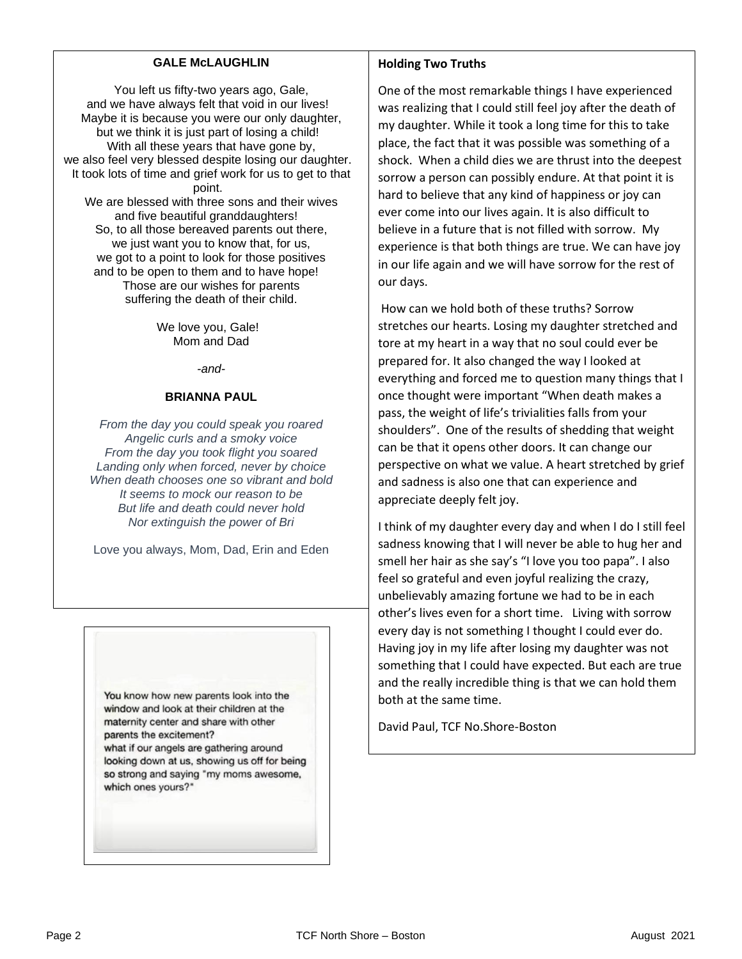### **GALE McLAUGHLIN**

**You left us fifty-two years ago, Gale,<br>Ye have always felt that yoid in our liv** and we have always felt that void in our lives! Maybe it is because you were our only daughter, but we think it is just part of losing a child! With all these years that have gone by, we also feel very blessed despite losing our daughter. It took lots of time and grief work for us to get to that point. We are blessed with three sons and their wives and five beautiful granddaughters! So, to all those bereaved parents out there, we just want you to know that, for us,

> we got to a point to look for those positives and to be open to them and to have hope! Those are our wishes for parents suffering the death of their child.

> > We love you, Gale! Mom and Dad

> > > *-and-*

#### **BRIANNA PAUL**

*From the day you could speak you roared Angelic curls and a smoky voice From the day you took flight you soared Landing only when forced, never by choice When death chooses one so vibrant and bold It seems to mock our reason to be But life and death could never hold Nor extinguish the power of Bri*

Love you always, Mom, Dad, Erin and Eden

You know how new parents look into the window and look at their children at the maternity center and share with other parents the excitement? what if our angels are gathering around looking down at us, showing us off for being so strong and saying "my moms awesome, which ones yours?"

#### **Holding Two Truths**

One of the most remarkable things I have experienced was realizing that I could still feel joy after the death of my daughter. While it took a long time for this to take place, the fact that it was possible was something of a shock. When a child dies we are thrust into the deepest sorrow a person can possibly endure. At that point it is hard to believe that any kind of happiness or joy can ever come into our lives again. It is also difficult to believe in a future that is not filled with sorrow. My experience is that both things are true. We can have joy in our life again and we will have sorrow for the rest of our days.

How can we hold both of these truths? Sorrow stretches our hearts. Losing my daughter stretched and tore at my heart in a way that no soul could ever be prepared for. It also changed the way I looked at everything and forced me to question many things that I once thought were important "When death makes a pass, the weight of life's trivialities falls from your shoulders". One of the results of shedding that weight can be that it opens other doors. It can change our perspective on what we value. A heart stretched by grief and sadness is also one that can experience and appreciate deeply felt joy.

I think of my daughter every day and when I do I still feel sadness knowing that I will never be able to hug her and smell her hair as she say's "I love you too papa". I also feel so grateful and even joyful realizing the crazy, unbelievably amazing fortune we had to be in each other's lives even for a short time. Living with sorrow every day is not something I thought I could ever do. Having joy in my life after losing my daughter was not something that I could have expected. But each are true and the really incredible thing is that we can hold them both at the same time.

David Paul, TCF No.Shore-Boston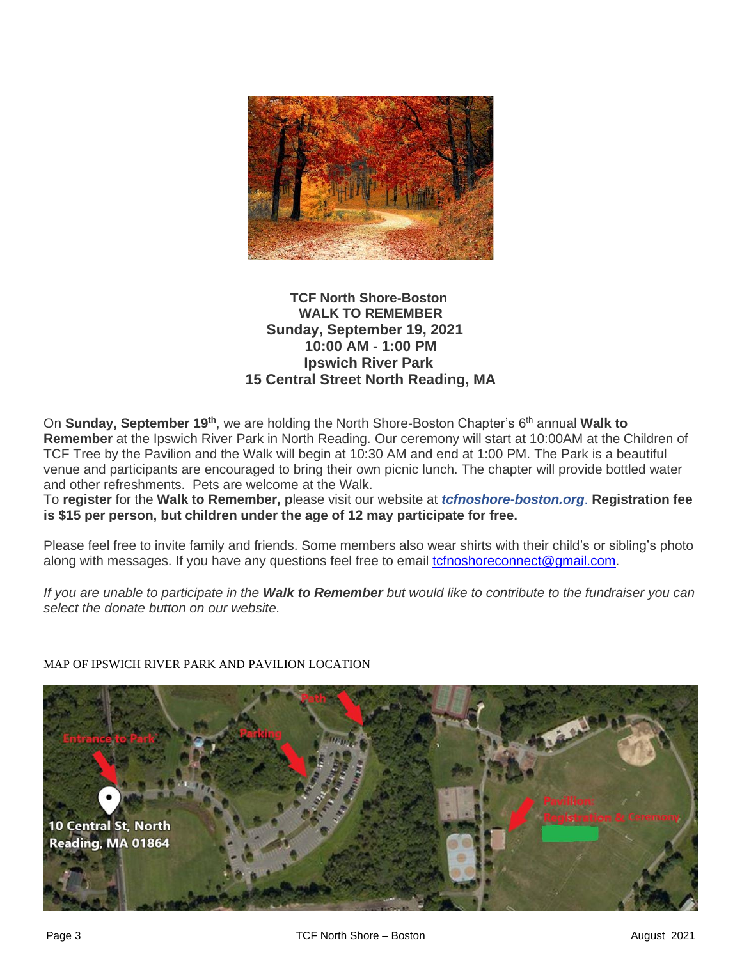

### **TCF North Shore-Boston WALK TO REMEMBER Sunday, September 19, 2021 10:00 AM - 1:00 PM Ipswich River Park 15 Central Street North Reading, MA**

On **Sunday, September 19th**, we are holding the North Shore-Boston Chapter's 6 th annual **Walk to Remember** at the Ipswich River Park in North Reading. Our ceremony will start at 10:00AM at the Children of TCF Tree by the Pavilion and the Walk will begin at 10:30 AM and end at 1:00 PM. The Park is a beautiful venue and participants are encouraged to bring their own picnic lunch. The chapter will provide bottled water and other refreshments. Pets are welcome at the Walk.

To **register** for the **Walk to Remember, p**lease visit our website at *tcfnoshore-boston.org*. **Registration fee is \$15 per person, but children under the age of 12 may participate for free.**

Please feel free to invite family and friends. Some members also wear shirts with their child's or sibling's photo along with messages. If you have any questions feel free to email *tcfnoshoreconnect@gmail.com.* 

*If you are unable to participate in the Walk to Remember but would like to contribute to the fundraiser you can select the donate button on our website.* 



MAP OF IPSWICH RIVER PARK AND PAVILION LOCATION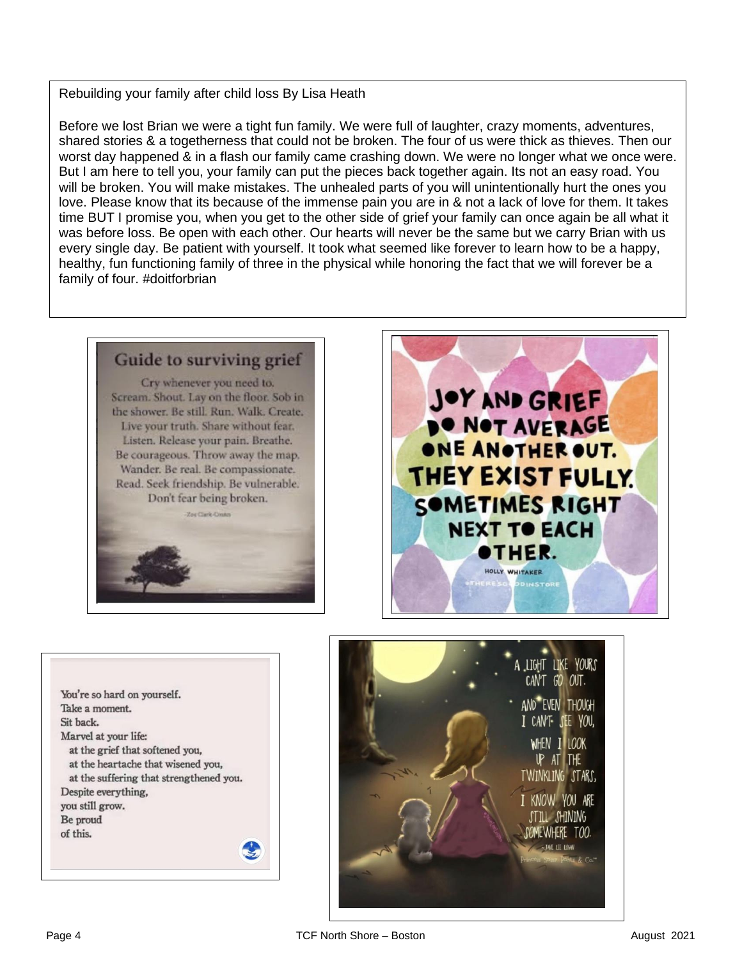## Rebuilding your family after child loss By Lisa Heath

 Before we lost Brian we were a tight fun family. We were full of laughter, crazy moments, adventures, shared stories & a togetherness that could not be broken. The four of us were thick as thieves. Then our worst day nappened & in a nash our family came crashing down. We were no longer what we once well<br>But I am here to tell you, your family can put the pieces back together again. Its not an easy road. You will be broken. You will make mistakes. The unhealed parts of you will unintentionally hurt the ones you<br>Joye, Please know that its because of the immense pain you are in & not a lack of loye for them, It takes  time BUT I promise you, when you get to the other side of grief your family can once again be all what it was betore loss. Be open with each other. Our hearts will never be the same but we carry Brian with us<br>every single day. Be patient with yourself. It took what seemed like forever to learn how to be a happy, healthy, fun functioning family of three in the physical while honoring the fact that we will forever be a worst day happened & in a flash our family came crashing down. We were no longer what we once were. love. Please know that its because of the immense pain you are in & not a lack of love for them. It takes was before loss. Be open with each other. Our hearts will never be the same but we carry Brian with us family of four. #doitforbrian

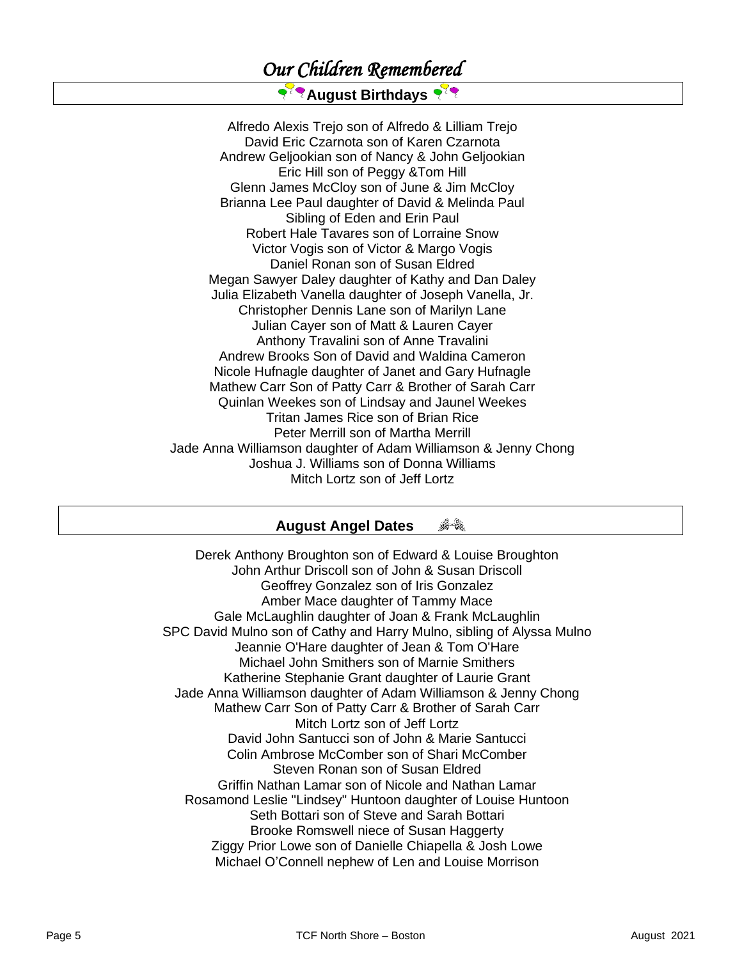### *Our Children Remembered*

### **August Birthdays**

Alfredo Alexis Trejo son of Alfredo & Lilliam Trejo David Eric Czarnota son of Karen Czarnota Andrew Geljookian son of Nancy & John Geljookian Eric Hill son of Peggy &Tom Hill Glenn James McCloy son of June & Jim McCloy Brianna Lee Paul daughter of David & Melinda Paul Sibling of Eden and Erin Paul Robert Hale Tavares son of Lorraine Snow Victor Vogis son of Victor & Margo Vogis Daniel Ronan son of Susan Eldred Megan Sawyer Daley daughter of Kathy and Dan Daley Julia Elizabeth Vanella daughter of Joseph Vanella, Jr. Christopher Dennis Lane son of Marilyn Lane Julian Cayer son of Matt & Lauren Cayer Anthony Travalini son of Anne Travalini Andrew Brooks Son of David and Waldina Cameron Nicole Hufnagle daughter of Janet and Gary Hufnagle Mathew Carr Son of Patty Carr & Brother of Sarah Carr Quinlan Weekes son of Lindsay and Jaunel Weekes Tritan James Rice son of Brian Rice Peter Merrill son of Martha Merrill Jade Anna Williamson daughter of Adam Williamson & Jenny Chong Joshua J. Williams son of Donna Williams Mitch Lortz son of Jeff Lortz

#### 合食 **August Angel Dates**

Derek Anthony Broughton son of Edward & Louise Broughton John Arthur Driscoll son of John & Susan Driscoll Geoffrey Gonzalez son of Iris Gonzalez Amber Mace daughter of Tammy Mace Gale McLaughlin daughter of Joan & Frank McLaughlin SPC David Mulno son of Cathy and Harry Mulno, sibling of Alyssa Mulno Jeannie O'Hare daughter of Jean & Tom O'Hare Michael John Smithers son of Marnie Smithers Katherine Stephanie Grant daughter of Laurie Grant Jade Anna Williamson daughter of Adam Williamson & Jenny Chong Mathew Carr Son of Patty Carr & Brother of Sarah Carr Mitch Lortz son of Jeff Lortz David John Santucci son of John & Marie Santucci Colin Ambrose McComber son of Shari McComber Steven Ronan son of Susan Eldred Griffin Nathan Lamar son of Nicole and Nathan Lamar Rosamond Leslie "Lindsey" Huntoon daughter of Louise Huntoon Seth Bottari son of Steve and Sarah Bottari Brooke Romswell niece of Susan Haggerty Ziggy Prior Lowe son of Danielle Chiapella & Josh Lowe Michael O'Connell nephew of Len and Louise Morrison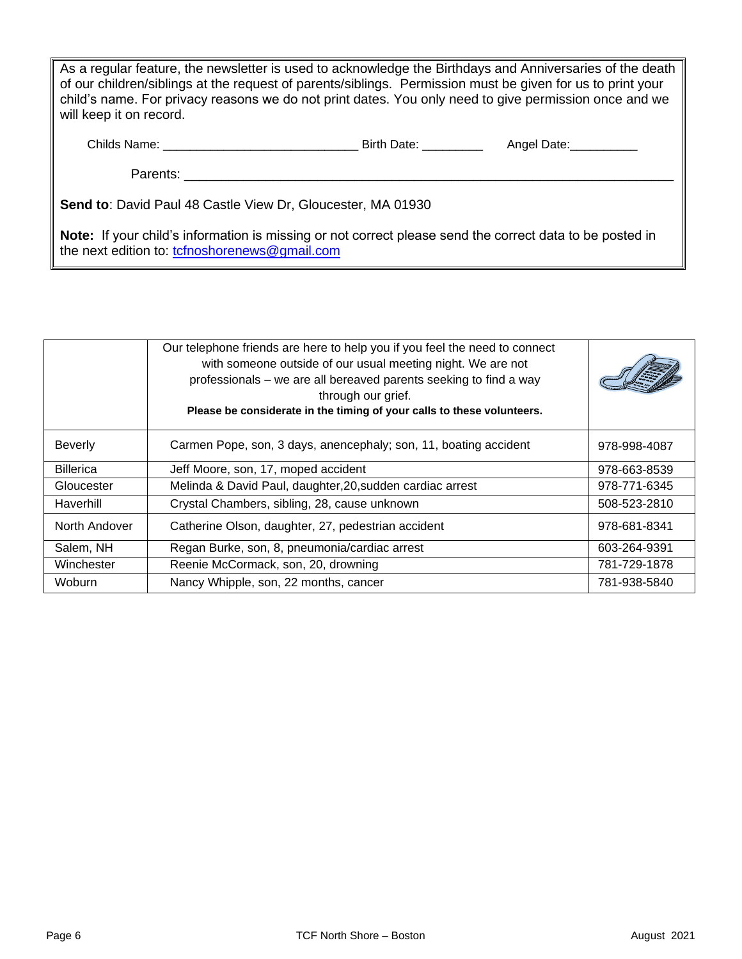As a regular feature, the newsletter is used to acknowledge the Birthdays and Anniversaries of the death of our children/siblings at the request of parents/siblings. Permission must be given for us to print your child's name. For privacy reasons we do not print dates. You only need to give permission once and we will keep it on record.

| Childs Name: | Birth Da | Jate<br>Anael - |
|--------------|----------|-----------------|
|--------------|----------|-----------------|

Parents: **Example 20** 

**Send to**: David Paul 48 Castle View Dr, Gloucester, MA 01930

**Note:** If your child's information is missing or not correct please send the correct data to be posted in the next edition to: [tcfnoshorenews@gmail.com](mailto:tcfnoshorenews@gmail.com)

|                  | Our telephone friends are here to help you if you feel the need to connect<br>with someone outside of our usual meeting night. We are not<br>professionals - we are all bereaved parents seeking to find a way<br>through our grief.<br>Please be considerate in the timing of your calls to these volunteers. |              |
|------------------|----------------------------------------------------------------------------------------------------------------------------------------------------------------------------------------------------------------------------------------------------------------------------------------------------------------|--------------|
| <b>Beverly</b>   | Carmen Pope, son, 3 days, anencephaly; son, 11, boating accident                                                                                                                                                                                                                                               | 978-998-4087 |
| <b>Billerica</b> | Jeff Moore, son, 17, moped accident                                                                                                                                                                                                                                                                            | 978-663-8539 |
| Gloucester       | Melinda & David Paul, daughter, 20, sudden cardiac arrest                                                                                                                                                                                                                                                      | 978-771-6345 |
| Haverhill        | Crystal Chambers, sibling, 28, cause unknown                                                                                                                                                                                                                                                                   | 508-523-2810 |
| North Andover    | Catherine Olson, daughter, 27, pedestrian accident                                                                                                                                                                                                                                                             | 978-681-8341 |
| Salem, NH        | Regan Burke, son, 8, pneumonia/cardiac arrest                                                                                                                                                                                                                                                                  | 603-264-9391 |
| Winchester       | Reenie McCormack, son, 20, drowning                                                                                                                                                                                                                                                                            | 781-729-1878 |
| Woburn           | Nancy Whipple, son, 22 months, cancer                                                                                                                                                                                                                                                                          | 781-938-5840 |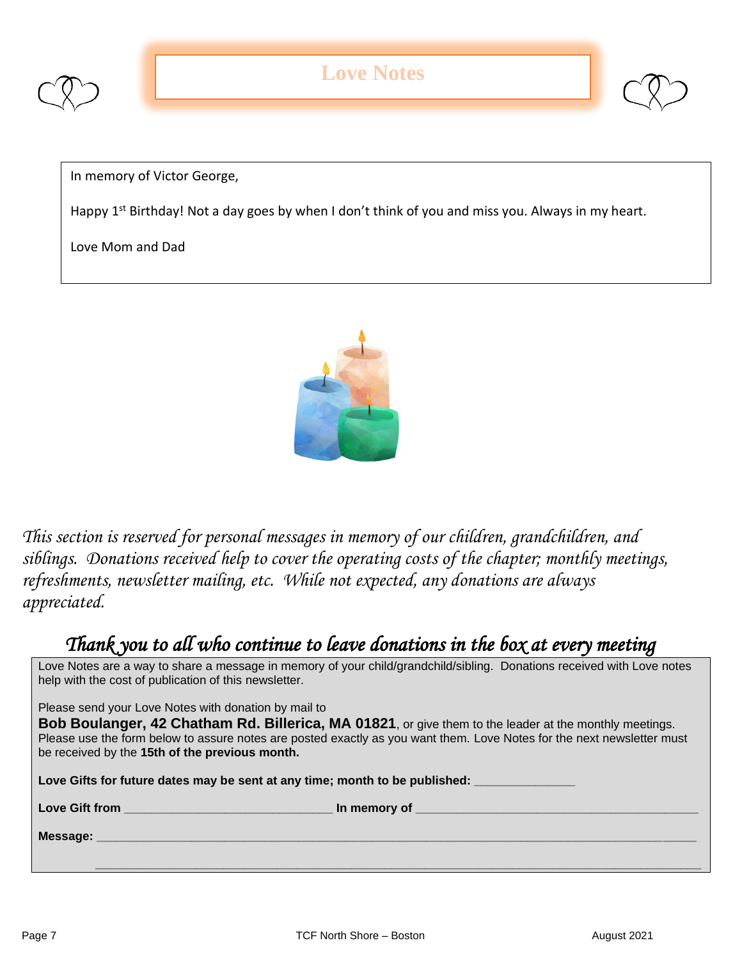



In memory of Victor George,

Happy 1<sup>st</sup> Birthday! Not a day goes by when I don't think of you and miss you. Always in my heart.

Love Mom and Dad



*This section is reserved for personal messages in memory of our children, grandchildren, and siblings. Donations received help to cover the operating costs of the chapter; monthly meetings, refreshments, newsletter mailing, etc. While not expected, any donations are always appreciated.*

### *Thank you to all who continue to leave donations in the box at every meeting*

Love Notes are a way to share a message in memory of your child/grandchild/sibling. Donations received with Love notes help with the cost of publication of this newsletter.

Please send your Love Notes with donation by mail to

**Bob Boulanger, 42 Chatham Rd. Billerica, MA 01821**, or give them to the leader at the monthly meetings. Please use the form below to assure notes are posted exactly as you want them. Love Notes for the next newsletter must be received by the **15th of the previous month.** 

Love Gifts for future dates may be sent at any time; month to be published:

**Love Gift from the contract of the contract of the contract of the contract of the contract of the contract of the contract of the contract of the contract of the contract of the contract of the contract of the contract o** 

**Message: \_\_\_\_\_\_\_\_\_\_\_\_\_\_\_\_\_\_\_\_\_\_\_\_\_\_\_\_\_\_\_\_\_\_\_\_\_\_\_\_\_\_\_\_\_\_\_\_\_\_\_\_\_\_\_\_\_\_\_\_\_\_\_\_\_\_\_\_\_\_\_\_\_\_\_\_\_\_\_\_\_\_\_\_\_\_\_\_\_**

 **\_\_\_\_\_\_\_\_\_\_\_\_\_\_\_\_\_\_\_\_\_\_\_\_\_\_\_\_\_\_\_\_\_\_\_\_\_\_\_\_\_\_\_\_\_\_\_\_\_\_\_\_\_\_\_\_\_\_\_\_\_\_\_\_\_\_\_\_\_\_\_\_\_\_\_\_\_\_\_\_\_\_\_\_\_\_\_\_\_\_**